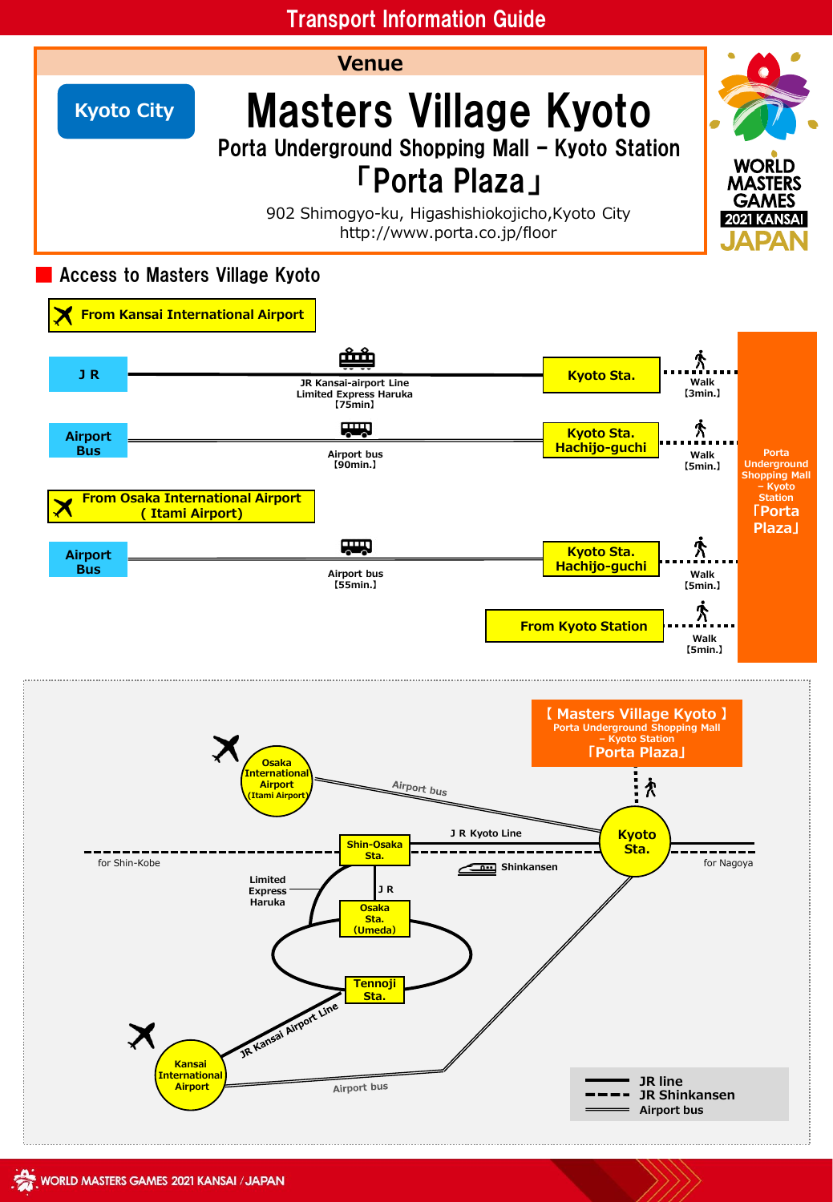# Transport Information Guide

**Venue**



**Kyoto City** Masters Village Kyoto Porta Underground Shopping Mall – Kyoto Station

# 「Porta Plaza」

902 Shimogyo-ku, Higashishiokojicho,Kyoto City http://www.porta.co.jp/floor

## Access to Masters Village Kyoto



**Tennoji Sta.**

Airport bus

**JR line JR Shinkansen Airport bus**

**WORLD MASTERS GAMES** 2021 KANSAI

**Osaka Sta. (Umeda)**

**Haruka**

JR Kansai Airport Line

**Kansai International Airport**